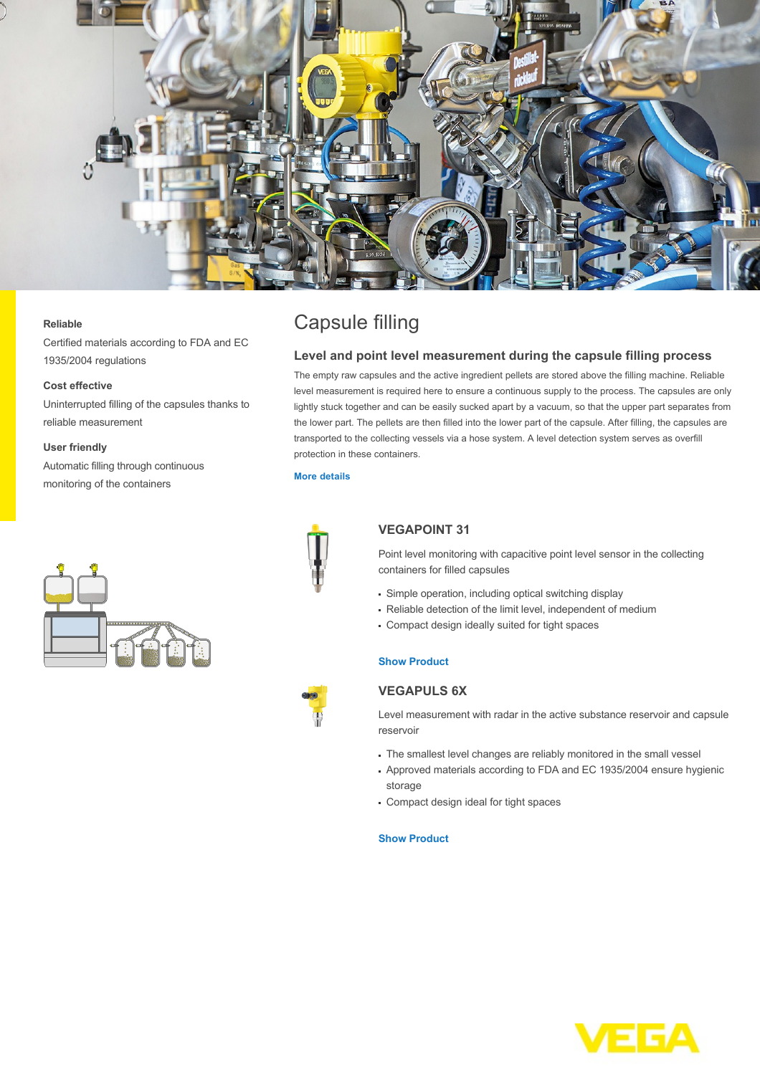

#### **Reliable**

Certified materials according to FDA and EC 1935/2004 regulations

#### **Cost effective**

Uninterrupted filling of the capsules thanks to reliable measurement

#### **User friendly**

Automatic filling through continuous monitoring of the containers



# Capsule filling

## **Level and point level measurement during the capsule filling process**

The empty raw capsules and the active ingredient pellets are stored above the filling machine. Reliable level measurement is required here to ensure a continuous supply to the process. The capsules are only lightly stuck together and can be easily sucked apart by a vacuum, so that the upper part separates from the lower part. The pellets are then filled into the lower part of the capsule. After filling, the capsules are transported to the collecting vessels via a hose system. A level detection system serves as overfill protection in these containers.

#### **[More details](http://localhost/en-us/industries/pharmaceutical/applications/capsule-filling)**



# **VEGAPOINT 31**

Point level monitoring with capacitive point level sensor in the collecting containers for filled capsules

- Simple operation, including optical switching display
- Reliable detection of the limit level, independent of medium
- Compact design ideally suited for tight spaces

### **[Show Product](http://localhost/en-us/products/product-catalog/switching/capacitive/vegapoint-31)**

## **VEGAPULS 6X**

Level measurement with radar in the active substance reservoir and capsule reservoir

- The smallest level changes are reliably monitored in the small vessel
- Approved materials according to FDA and EC 1935/2004 ensure hygienic storage
- Compact design ideal for tight spaces

#### **[Show Product](http://localhost/en-us/products/product-catalog/level/radar/vegapuls-6x)**